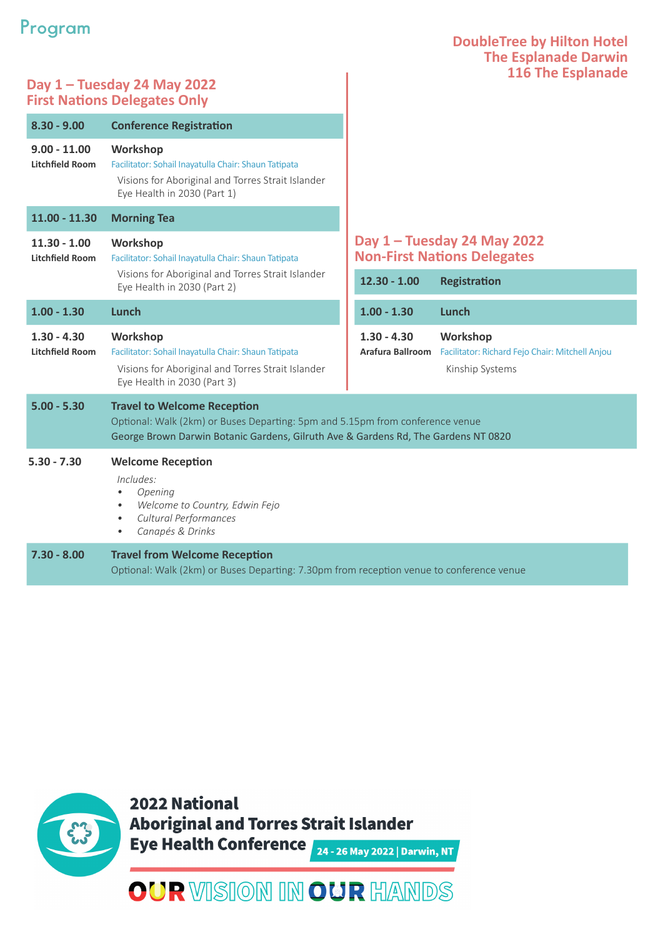## **Program**

### **DoubleTree by Hilton Hotel The Esplanade Darwin 116 The Esplanade**

### **Day 1 – Tuesday 24 May 2022 First Nations Delegates Only**

| $8.30 - 9.00$                            | <b>Conference Registration</b>                                                                                                                                                                            |                                                                   |                                                                                       |
|------------------------------------------|-----------------------------------------------------------------------------------------------------------------------------------------------------------------------------------------------------------|-------------------------------------------------------------------|---------------------------------------------------------------------------------------|
| $9.00 - 11.00$<br><b>Litchfield Room</b> | Workshop<br>Facilitator: Sohail Inayatulla Chair: Shaun Tatipata<br>Visions for Aboriginal and Torres Strait Islander<br>Eye Health in 2030 (Part 1)                                                      |                                                                   |                                                                                       |
| $11.00 - 11.30$                          | <b>Morning Tea</b>                                                                                                                                                                                        |                                                                   |                                                                                       |
| $11.30 - 1.00$<br><b>Litchfield Room</b> | Workshop<br>Facilitator: Sohail Inayatulla Chair: Shaun Tatipata<br>Visions for Aboriginal and Torres Strait Islander<br>Eye Health in 2030 (Part 2)                                                      | Day 1 - Tuesday 24 May 2022<br><b>Non-First Nations Delegates</b> |                                                                                       |
|                                          |                                                                                                                                                                                                           | $12.30 - 1.00$                                                    | <b>Registration</b>                                                                   |
| $1.00 - 1.30$                            | Lunch                                                                                                                                                                                                     | $1.00 - 1.30$                                                     | Lunch                                                                                 |
| $1.30 - 4.30$<br><b>Litchfield Room</b>  | Workshop<br>Facilitator: Sohail Inayatulla Chair: Shaun Tatipata<br>Visions for Aboriginal and Torres Strait Islander<br>Eye Health in 2030 (Part 3)                                                      | $1.30 - 4.30$<br>Arafura Ballroom                                 | <b>Workshop</b><br>Facilitator: Richard Fejo Chair: Mitchell Anjou<br>Kinship Systems |
| $5.00 - 5.30$                            | <b>Travel to Welcome Reception</b><br>Optional: Walk (2km) or Buses Departing: 5pm and 5.15pm from conference venue<br>George Brown Darwin Botanic Gardens, Gilruth Ave & Gardens Rd, The Gardens NT 0820 |                                                                   |                                                                                       |
| $5.30 - 7.30$                            | <b>Welcome Reception</b><br>Includes:<br>Opening<br>$\bullet$<br>Welcome to Country, Edwin Fejo<br>$\bullet$<br>Cultural Performances<br>$\bullet$<br>Canapés & Drinks<br>$\bullet$                       |                                                                   |                                                                                       |
| $7.30 - 8.00$                            | <b>Travel from Welcome Reception</b><br>Optional: Walk (2km) or Buses Departing: 7.30pm from reception venue to conference venue                                                                          |                                                                   |                                                                                       |



2022 National **Aboriginal and Torres Strait Islander** Eye Health Conference 24 - 26 May 2022 | Darwin, NT

# **OUR VISION IN OUR HANDS**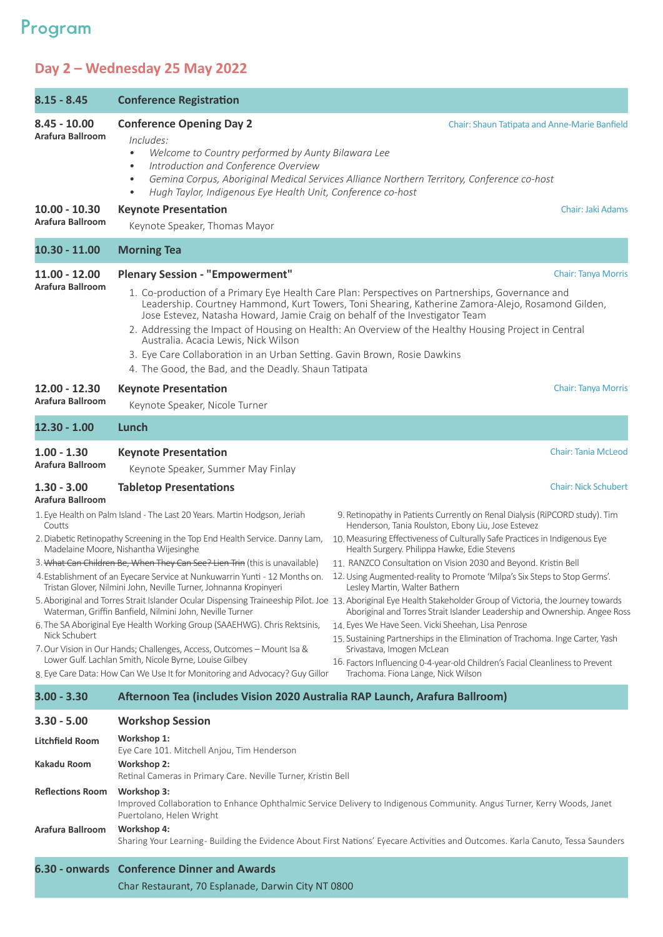## **Program**

## **Day 2 – Wednesday 25 May 2022**

| $8.15 - 8.45$                               | <b>Conference Registration</b>                                                                                                                                                                                                                                                                                                                           |                                                                                                                                                                                                                                                                                                                                                                                                                                                                                                                                         |
|---------------------------------------------|----------------------------------------------------------------------------------------------------------------------------------------------------------------------------------------------------------------------------------------------------------------------------------------------------------------------------------------------------------|-----------------------------------------------------------------------------------------------------------------------------------------------------------------------------------------------------------------------------------------------------------------------------------------------------------------------------------------------------------------------------------------------------------------------------------------------------------------------------------------------------------------------------------------|
| $8.45 - 10.00$<br>Arafura Ballroom          | <b>Conference Opening Day 2</b><br>Includes:<br>Welcome to Country performed by Aunty Bilawara Lee<br>$\bullet$<br>Introduction and Conference Overview<br>$\bullet$<br>$\bullet$<br>Hugh Taylor, Indigenous Eye Health Unit, Conference co-host<br>$\bullet$                                                                                            | Chair: Shaun Tatipata and Anne-Marie Banfield<br>Gemina Corpus, Aboriginal Medical Services Alliance Northern Territory, Conference co-host                                                                                                                                                                                                                                                                                                                                                                                             |
| $10.00 - 10.30$<br>Arafura Ballroom         | <b>Keynote Presentation</b><br>Keynote Speaker, Thomas Mayor                                                                                                                                                                                                                                                                                             | Chair: Jaki Adams                                                                                                                                                                                                                                                                                                                                                                                                                                                                                                                       |
| $10.30 - 11.00$                             | <b>Morning Tea</b>                                                                                                                                                                                                                                                                                                                                       |                                                                                                                                                                                                                                                                                                                                                                                                                                                                                                                                         |
| $11.00 - 12.00$<br>Arafura Ballroom         | <b>Plenary Session - "Empowerment"</b><br>Jose Estevez, Natasha Howard, Jamie Craig on behalf of the Investigator Team                                                                                                                                                                                                                                   | <b>Chair: Tanya Morris</b><br>1. Co-production of a Primary Eye Health Care Plan: Perspectives on Partnerships, Governance and<br>Leadership. Courtney Hammond, Kurt Towers, Toni Shearing, Katherine Zamora-Alejo, Rosamond Gilden,                                                                                                                                                                                                                                                                                                    |
|                                             | Australia. Acacia Lewis, Nick Wilson<br>3. Eye Care Collaboration in an Urban Setting. Gavin Brown, Rosie Dawkins<br>4. The Good, the Bad, and the Deadly. Shaun Tatipata                                                                                                                                                                                | 2. Addressing the Impact of Housing on Health: An Overview of the Healthy Housing Project in Central                                                                                                                                                                                                                                                                                                                                                                                                                                    |
| $12.00 - 12.30$<br>Arafura Ballroom         | <b>Keynote Presentation</b><br>Keynote Speaker, Nicole Turner                                                                                                                                                                                                                                                                                            | <b>Chair: Tanya Morris</b>                                                                                                                                                                                                                                                                                                                                                                                                                                                                                                              |
| $12.30 - 1.00$                              | Lunch                                                                                                                                                                                                                                                                                                                                                    |                                                                                                                                                                                                                                                                                                                                                                                                                                                                                                                                         |
| $1.00 - 1.30$<br>Arafura Ballroom           | <b>Keynote Presentation</b><br>Keynote Speaker, Summer May Finlay                                                                                                                                                                                                                                                                                        | <b>Chair: Tania McLeod</b>                                                                                                                                                                                                                                                                                                                                                                                                                                                                                                              |
| $1.30 - 3.00$<br>Arafura Ballroom           | <b>Tabletop Presentations</b>                                                                                                                                                                                                                                                                                                                            | <b>Chair: Nick Schubert</b>                                                                                                                                                                                                                                                                                                                                                                                                                                                                                                             |
| Coutts                                      | 1. Eye Health on Palm Island - The Last 20 Years. Martin Hodgson, Jeriah<br>2. Diabetic Retinopathy Screening in the Top End Health Service. Danny Lam,<br>Madelaine Moore, Nishantha Wijesinghe                                                                                                                                                         | 9. Retinopathy in Patients Currently on Renal Dialysis (RiPCORD study). Tim<br>Henderson, Tania Roulston, Ebony Liu, Jose Estevez<br>10. Measuring Effectiveness of Culturally Safe Practices in Indigenous Eye<br>Health Surgery. Philippa Hawke, Edie Stevens                                                                                                                                                                                                                                                                         |
|                                             | 3. What Can Children Be, When They Can See? Lien Trin (this is unavailable)<br>4. Establishment of an Eyecare Service at Nunkuwarrin Yunti - 12 Months on.<br>Tristan Glover, Nilmini John, Neville Turner, Johnanna Kropinyeri                                                                                                                          | 11. RANZCO Consultation on Vision 2030 and Beyond. Kristin Bell<br>12. Using Augmented-reality to Promote 'Milpa's Six Steps to Stop Germs'.<br>Lesley Martin, Walter Bathern                                                                                                                                                                                                                                                                                                                                                           |
| Nick Schubert                               | Waterman, Griffin Banfield, Nilmini John, Neville Turner<br>6. The SA Aboriginal Eye Health Working Group (SAAEHWG). Chris Rektsinis,<br>7. Our Vision in Our Hands; Challenges, Access, Outcomes - Mount Isa &<br>Lower Gulf. Lachlan Smith, Nicole Byrne, Louise Gilbey<br>8. Eye Care Data: How Can We Use It for Monitoring and Advocacy? Guy Gillor | 5. Aboriginal and Torres Strait Islander Ocular Dispensing Traineeship Pilot. Joe 13. Aboriginal Eye Health Stakeholder Group of Victoria, the Journey towards<br>Aboriginal and Torres Strait Islander Leadership and Ownership. Angee Ross<br>14. Eyes We Have Seen. Vicki Sheehan, Lisa Penrose<br>15. Sustaining Partnerships in the Elimination of Trachoma. Inge Carter, Yash<br>Srivastava, Imogen McLean<br>16. Factors Influencing 0-4-year-old Children's Facial Cleanliness to Prevent<br>Trachoma. Fiona Lange, Nick Wilson |
| $3.00 - 3.30$                               | Afternoon Tea (includes Vision 2020 Australia RAP Launch, Arafura Ballroom)                                                                                                                                                                                                                                                                              |                                                                                                                                                                                                                                                                                                                                                                                                                                                                                                                                         |
| $3.30 - 5.00$                               | <b>Workshop Session</b>                                                                                                                                                                                                                                                                                                                                  |                                                                                                                                                                                                                                                                                                                                                                                                                                                                                                                                         |
| <b>Litchfield Room</b><br>Kakadu Room       | Workshop 1:<br>Eye Care 101. Mitchell Anjou, Tim Henderson<br>Workshop 2:<br>Retinal Cameras in Primary Care. Neville Turner, Kristin Bell                                                                                                                                                                                                               |                                                                                                                                                                                                                                                                                                                                                                                                                                                                                                                                         |
| <b>Reflections Room</b><br>Arafura Ballroom | Workshop 3:<br>Puertolano, Helen Wright<br>Workshop 4:                                                                                                                                                                                                                                                                                                   | Improved Collaboration to Enhance Ophthalmic Service Delivery to Indigenous Community. Angus Turner, Kerry Woods, Janet                                                                                                                                                                                                                                                                                                                                                                                                                 |
|                                             | 6.30 - onwards Conference Dinner and Awards                                                                                                                                                                                                                                                                                                              | Sharing Your Learning-Building the Evidence About First Nations' Eyecare Activities and Outcomes. Karla Canuto, Tessa Saunders                                                                                                                                                                                                                                                                                                                                                                                                          |

Char Restaurant, 70 Esplanade, Darwin City NT 0800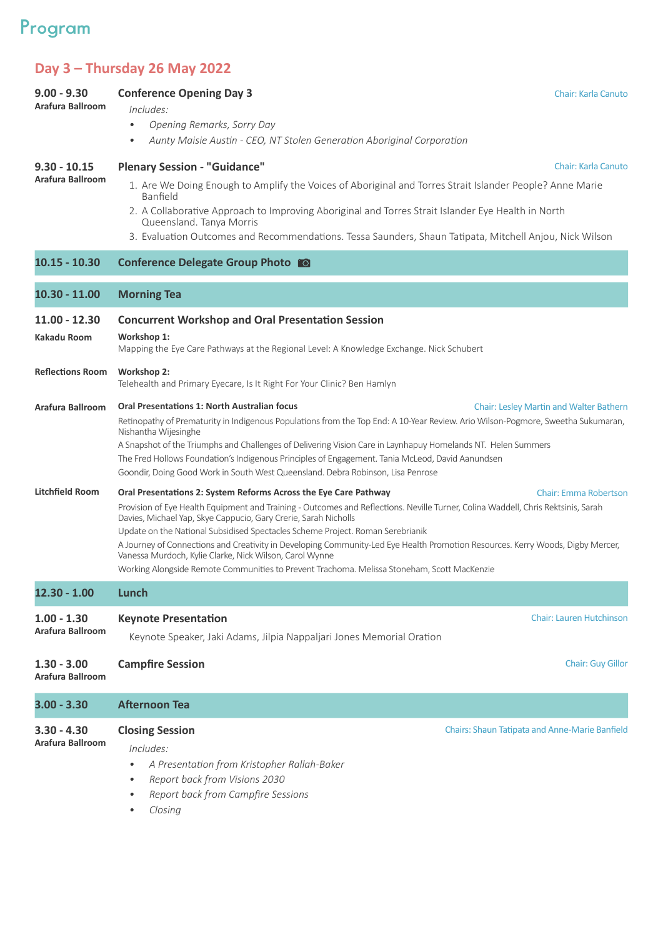## **Program**

**9.00 - 9.30**

## **Day 3 – Thursday 26 May 2022**

**Conference Opening Day 3**

| Arafura Ballroom                  | Includes:                                                                                                                                                                                                                                                                                                                                                                                                                                                                                                                                                                                                                                                                              |  |  |
|-----------------------------------|----------------------------------------------------------------------------------------------------------------------------------------------------------------------------------------------------------------------------------------------------------------------------------------------------------------------------------------------------------------------------------------------------------------------------------------------------------------------------------------------------------------------------------------------------------------------------------------------------------------------------------------------------------------------------------------|--|--|
|                                   | Opening Remarks, Sorry Day                                                                                                                                                                                                                                                                                                                                                                                                                                                                                                                                                                                                                                                             |  |  |
|                                   | Aunty Maisie Austin - CEO, NT Stolen Generation Aboriginal Corporation<br>$\bullet$                                                                                                                                                                                                                                                                                                                                                                                                                                                                                                                                                                                                    |  |  |
| $9.30 - 10.15$                    | <b>Plenary Session - "Guidance"</b><br>Chair: Karla Canuto                                                                                                                                                                                                                                                                                                                                                                                                                                                                                                                                                                                                                             |  |  |
| Arafura Ballroom                  | 1. Are We Doing Enough to Amplify the Voices of Aboriginal and Torres Strait Islander People? Anne Marie<br>Banfield                                                                                                                                                                                                                                                                                                                                                                                                                                                                                                                                                                   |  |  |
|                                   | 2. A Collaborative Approach to Improving Aboriginal and Torres Strait Islander Eye Health in North<br>Queensland. Tanya Morris                                                                                                                                                                                                                                                                                                                                                                                                                                                                                                                                                         |  |  |
|                                   | 3. Evaluation Outcomes and Recommendations. Tessa Saunders, Shaun Tatipata, Mitchell Anjou, Nick Wilson                                                                                                                                                                                                                                                                                                                                                                                                                                                                                                                                                                                |  |  |
| $10.15 - 10.30$                   | Conference Delegate Group Photo                                                                                                                                                                                                                                                                                                                                                                                                                                                                                                                                                                                                                                                        |  |  |
| $10.30 - 11.00$                   | <b>Morning Tea</b>                                                                                                                                                                                                                                                                                                                                                                                                                                                                                                                                                                                                                                                                     |  |  |
| $11.00 - 12.30$                   | <b>Concurrent Workshop and Oral Presentation Session</b>                                                                                                                                                                                                                                                                                                                                                                                                                                                                                                                                                                                                                               |  |  |
| Kakadu Room                       | Workshop 1:<br>Mapping the Eye Care Pathways at the Regional Level: A Knowledge Exchange. Nick Schubert                                                                                                                                                                                                                                                                                                                                                                                                                                                                                                                                                                                |  |  |
| <b>Reflections Room</b>           | Workshop 2:<br>Telehealth and Primary Eyecare, Is It Right For Your Clinic? Ben Hamlyn                                                                                                                                                                                                                                                                                                                                                                                                                                                                                                                                                                                                 |  |  |
| Arafura Ballroom                  | <b>Oral Presentations 1: North Australian focus</b><br><b>Chair: Lesley Martin and Walter Bathern</b><br>Retinopathy of Prematurity in Indigenous Populations from the Top End: A 10-Year Review. Ario Wilson-Pogmore, Sweetha Sukumaran,<br>Nishantha Wijesinghe                                                                                                                                                                                                                                                                                                                                                                                                                      |  |  |
|                                   | A Snapshot of the Triumphs and Challenges of Delivering Vision Care in Laynhapuy Homelands NT. Helen Summers<br>The Fred Hollows Foundation's Indigenous Principles of Engagement. Tania McLeod, David Aanundsen<br>Goondir, Doing Good Work in South West Queensland. Debra Robinson, Lisa Penrose                                                                                                                                                                                                                                                                                                                                                                                    |  |  |
| <b>Litchfield Room</b>            | <b>Chair: Emma Robertson</b><br>Oral Presentations 2: System Reforms Across the Eye Care Pathway<br>Provision of Eye Health Equipment and Training - Outcomes and Reflections. Neville Turner, Colina Waddell, Chris Rektsinis, Sarah<br>Davies, Michael Yap, Skye Cappucio, Gary Crerie, Sarah Nicholls<br>Update on the National Subsidised Spectacles Scheme Project. Roman Serebrianik<br>A Journey of Connections and Creativity in Developing Community-Led Eye Health Promotion Resources. Kerry Woods, Digby Mercer,<br>Vanessa Murdoch, Kylie Clarke, Nick Wilson, Carol Wynne<br>Working Alongside Remote Communities to Prevent Trachoma. Melissa Stoneham, Scott MacKenzie |  |  |
| $12.30 - 1.00$                    | Lunch                                                                                                                                                                                                                                                                                                                                                                                                                                                                                                                                                                                                                                                                                  |  |  |
| $1.00 - 1.30$<br>Arafura Ballroom | <b>Chair: Lauren Hutchinson</b><br><b>Keynote Presentation</b><br>Keynote Speaker, Jaki Adams, Jilpia Nappaljari Jones Memorial Oration                                                                                                                                                                                                                                                                                                                                                                                                                                                                                                                                                |  |  |
| $1.30 - 3.00$<br>Arafura Ballroom | <b>Campfire Session</b><br><b>Chair: Guy Gillor</b>                                                                                                                                                                                                                                                                                                                                                                                                                                                                                                                                                                                                                                    |  |  |
| $3.00 - 3.30$                     | <b>Afternoon Tea</b>                                                                                                                                                                                                                                                                                                                                                                                                                                                                                                                                                                                                                                                                   |  |  |
| $3.30 - 4.30$<br>Arafura Ballroom | <b>Closing Session</b><br><b>Chairs: Shaun Tatipata and Anne-Marie Banfield</b><br>Includes:<br>A Presentation from Kristopher Rallah-Baker<br>Report back from Visions 2030<br>$\bullet$<br>Report back from Campfire Sessions<br>$\bullet$<br>Closing                                                                                                                                                                                                                                                                                                                                                                                                                                |  |  |

Chair: Karla Canuto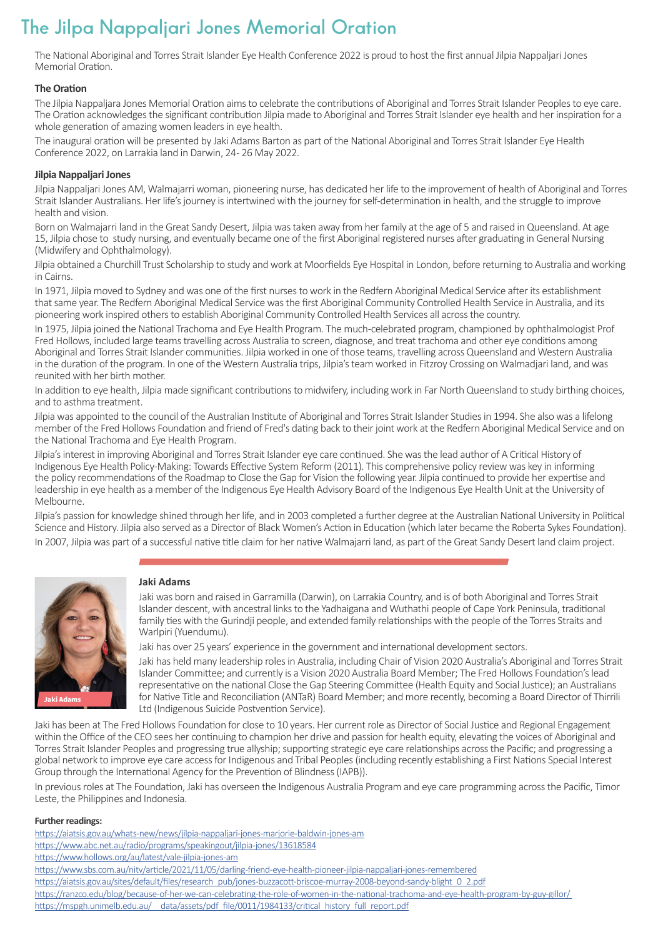## **The Jilpa Nappaljari Jones Memorial Oration**

The National Aboriginal and Torres Strait Islander Eye Health Conference 2022 is proud to host the first annual Jilpia Nappaljari Jones Memorial Oration.

#### **The Oration**

The Jilpia Nappaljara Jones Memorial Oration aims to celebrate the contributions of Aboriginal and Torres Strait Islander Peoples to eye care. The Oration acknowledges the significant contribution Jilpia made to Aboriginal and Torres Strait Islander eye health and her inspiration for a whole generation of amazing women leaders in eye health. 

The inaugural oration will be presented by Jaki Adams Barton as part of the National Aboriginal and Torres Strait Islander Eye Health Conference 2022, on Larrakia land in Darwin, 24 - 26 May 2022.

#### **Jilpia Nappaljari Jones**

Jilpia Nappaljari Jones AM, Walmajarri woman, pioneering nurse, has dedicated her life to the improvement of health of Aboriginal and Torres Strait Islander Australians. Her life's journey is intertwined with the journey for self-determination in health, and the struggle to improve health and vision.

Born on Walmajarri land in the Great Sandy Desert, Jilpia was taken away from her family at the age of 5 and raised in Queensland. At age 15, Jilpia chose to study nursing, and eventually became one of the first Aboriginal registered nurses after graduating in General Nursing (Midwifery and Ophthalmology).

Jilpia obtained a Churchill Trust Scholarship to study and work at Moorfields Eye Hospital in London, before returning to Australia and working in Cairns.

In 1971, Jilpia moved to Sydney and was one of the first nurses to work in the Redfern Aboriginal Medical Service after its establishment that same year. The Redfern Aboriginal Medical Service was the first Aboriginal Community Controlled Health Service in Australia, and its pioneering work inspired others to establish Aboriginal Community Controlled Health Services all across the country.

In 1975, Jilpia joined the National Trachoma and Eye Health Program. The much-celebrated program, championed by ophthalmologist Prof Fred Hollows, included large teams travelling across Australia to screen, diagnose, and treat trachoma and other eye conditions among Aboriginal and Torres Strait Islander communities. Jilpia worked in one of those teams, travelling across Queensland and Western Australia in the duration of the program. In one of the Western Australia trips, Jilpia's team worked in Fitzroy Crossing on Walmadjari land, and was reunited with her birth mother.

In addition to eye health, Jilpia made significant contributions to midwifery, including work in Far North Queensland to study birthing choices, and to asthma treatment.

Jilpia was appointed to the council of the Australian Institute of Aboriginal and Torres Strait Islander Studies in 1994. She also was a lifelong member of the Fred Hollows Foundation and friend of Fred's dating back to their joint work at the Redfern Aboriginal Medical Service and on the National Trachoma and Eye Health Program.

Jilpia's interest in improving Aboriginal and Torres Strait Islander eye care continued. She was the lead author of A Critical History of Indigenous Eye Health Policy-Making: Towards Effective System Reform (2011). This comprehensive policy review was key in informing the policy recommendations of the Roadmap to Close the Gap for Vision the following year. Jilpia continued to provide her expertise and leadership in eye health as a member of the Indigenous Eye Health Advisory Board of the Indigenous Eye Health Unit at the University of Melbourne.

Jilpia's passion for knowledge shined through her life, and in 2003 completed a further degree at the Australian National University in Political Science and History. Jilpia also served as a Director of Black Women's Action in Education (which later became the Roberta Sykes Foundation). In 2007, Jilpia was part of a successful native title claim for her native Walmajarri land, as part of the Great Sandy Desert land claim project.



Jaki Adams

#### **Jaki Adams**

Jaki was born and raised in Garramilla (Darwin), on Larrakia Country, and is of both Aboriginal and Torres Strait Islander descent, with ancestral links to the Yadhaigana and Wuthathi people of Cape York Peninsula, traditional family ties with the Gurindji people, and extended family relationships with the people of the Torres Straits and Warlpiri (Yuendumu).

Jaki has over 25 years' experience in the government and international development sectors.

Jaki has held many leadership roles in Australia, including Chair of Vision 2020 Australia's Aboriginal and Torres Strait Islander Committee; and currently is a Vision 2020 Australia Board Member; The Fred Hollows Foundation's lead representative on the national Close the Gap Steering Committee (Health Equity and Social Justice); an Australians for Native Title and Reconciliation (ANTaR) Board Member; and more recently, becoming a Board Director of Thirrili Ltd (Indigenous Suicide Postvention Service).

Jaki has been at The Fred Hollows Foundation for close to 10 years. Her current role as Director of Social Justice and Regional Engagement within the Office of the CEO sees her continuing to champion her drive and passion for health equity, elevating the voices of Aboriginal and Torres Strait Islander Peoples and progressing true allyship; supporting strategic eye care relationships across the Pacific; and progressing a global network to improve eye care access for Indigenous and Tribal Peoples (including recently establishing a First Nations Special Interest Group through the International Agency for the Prevention of Blindness (IAPB)).

In previous roles at The Foundation, Jaki has overseen the Indigenous Australia Program and eye care programming across the Pacific, Timor Leste, the Philippines and Indonesia.

#### **Further readings:**

<https://aiatsis.gov.au/whats-new/news/jilpia-nappaljari-jones-marjorie-baldwin-jones-am> <https://www.abc.net.au/radio/programs/speakingout/jilpia-jones/13618584>

<https://www.hollows.org/au/latest/vale-jilpia-jones-am>

<https://www.sbs.com.au/nitv/article/2021/11/05/darling-friend-eye-health-pioneer-jilpia-nappaljari-jones-remembered>

[https://aiatsis.gov.au/sites/default/files/research\\_pub/jones-buzzacott-briscoe-murray-2008-beyond-sandy-blight\\_0\\_2.pdf](https://aiatsis.gov.au/sites/default/files/research_pub/jones-buzzacott-briscoe-murray-2008-beyond-sandy-blight_0_2.pdf)

<https://ranzco.edu/blog/because-of-her-we-can-celebrating-the-role-of-women-in-the-national-trachoma-and-eye-health-program-by-guy-gillor/>

https://mspgh.unimelb.edu.au/ data/assets/pdf file/0011/1984133/critical history full report.pdf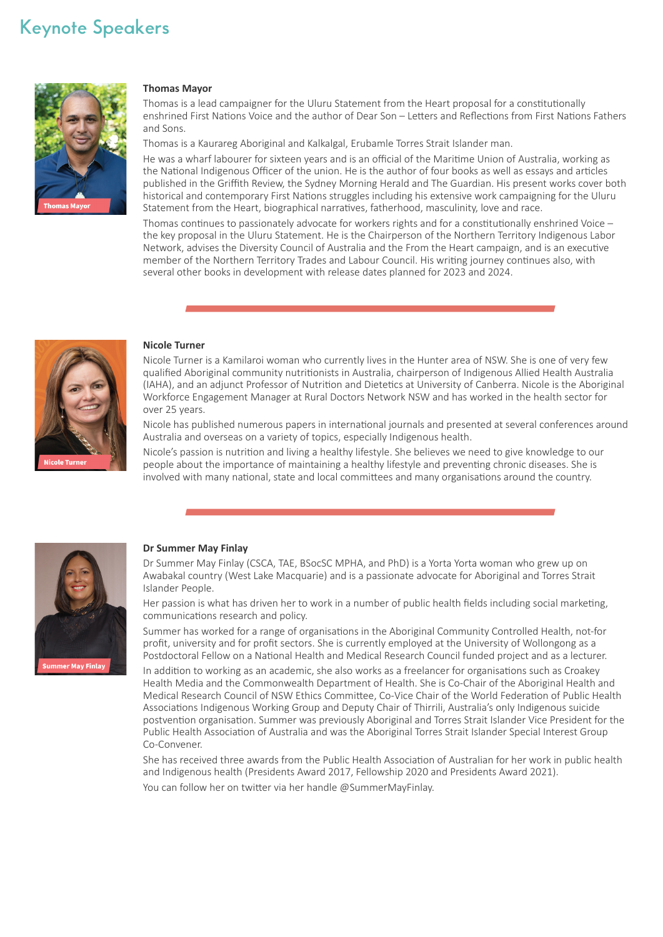## **Keynote Speakers**



#### **Thomas Mayor**

Thomas is a lead campaigner for the Uluru Statement from the Heart proposal for a constitutionally enshrined First Nations Voice and the author of Dear Son – Letters and Reflections from First Nations Fathers and Sons.

Thomas is a Kaurareg Aboriginal and Kalkalgal, Erubamle Torres Strait Islander man.

He was a wharf labourer for sixteen years and is an official of the Maritime Union of Australia, working as the National Indigenous Officer of the union. He is the author of four books as well as essays and articles published in the Griffith Review, the Sydney Morning Herald and The Guardian. His present works cover both historical and contemporary First Nations struggles including his extensive work campaigning for the Uluru Statement from the Heart, biographical narratives, fatherhood, masculinity, love and race.

Thomas continues to passionately advocate for workers rights and for a constitutionally enshrined Voice – the key proposal in the Uluru Statement. He is the Chairperson of the Northern Territory Indigenous Labor Network, advises the Diversity Council of Australia and the From the Heart campaign, and is an executive member of the Northern Territory Trades and Labour Council. His writing journey continues also, with several other books in development with release dates planned for 2023 and 2024.



#### **Nicole Turner**

Nicole Turner is a Kamilaroi woman who currently lives in the Hunter area of NSW. She is one of very few qualified Aboriginal community nutritionists in Australia, chairperson of Indigenous Allied Health Australia (IAHA), and an adjunct Professor of Nutrition and Dietetics at University of Canberra. Nicole is the Aboriginal Workforce Engagement Manager at Rural Doctors Network NSW and has worked in the health sector for over 25 years.

Nicole has published numerous papers in international journals and presented at several conferences around Australia and overseas on a variety of topics, especially Indigenous health.

Nicole's passion is nutrition and living a healthy lifestyle. She believes we need to give knowledge to our people about the importance of maintaining a healthy lifestyle and preventing chronic diseases. She is involved with many national, state and local committees and many organisations around the country.



#### **Dr Summer May Finlay**

Dr Summer May Finlay (CSCA, TAE, BSocSC MPHA, and PhD) is a Yorta Yorta woman who grew up on Awabakal country (West Lake Macquarie) and is a passionate advocate for Aboriginal and Torres Strait Islander People.

Her passion is what has driven her to work in a number of public health fields including social marketing, communications research and policy.

Summer has worked for a range of organisations in the Aboriginal Community Controlled Health, not-for profit, university and for profit sectors. She is currently employed at the University of Wollongong as a Postdoctoral Fellow on a National Health and Medical Research Council funded project and as a lecturer.

In addition to working as an academic, she also works as a freelancer for organisations such as Croakey Health Media and the Commonwealth Department of Health. She is Co-Chair of the Aboriginal Health and Medical Research Council of NSW Ethics Committee, Co-Vice Chair of the World Federation of Public Health Associations Indigenous Working Group and Deputy Chair of Thirrili, Australia's only Indigenous suicide postvention organisation. Summer was previously Aboriginal and Torres Strait Islander Vice President for the Public Health Association of Australia and was the Aboriginal Torres Strait Islander Special Interest Group Co-Convener.

She has received three awards from the Public Health Association of Australian for her work in public health and Indigenous health (Presidents Award 2017, Fellowship 2020 and Presidents Award 2021). You can follow her on twitter via her handle @SummerMayFinlay.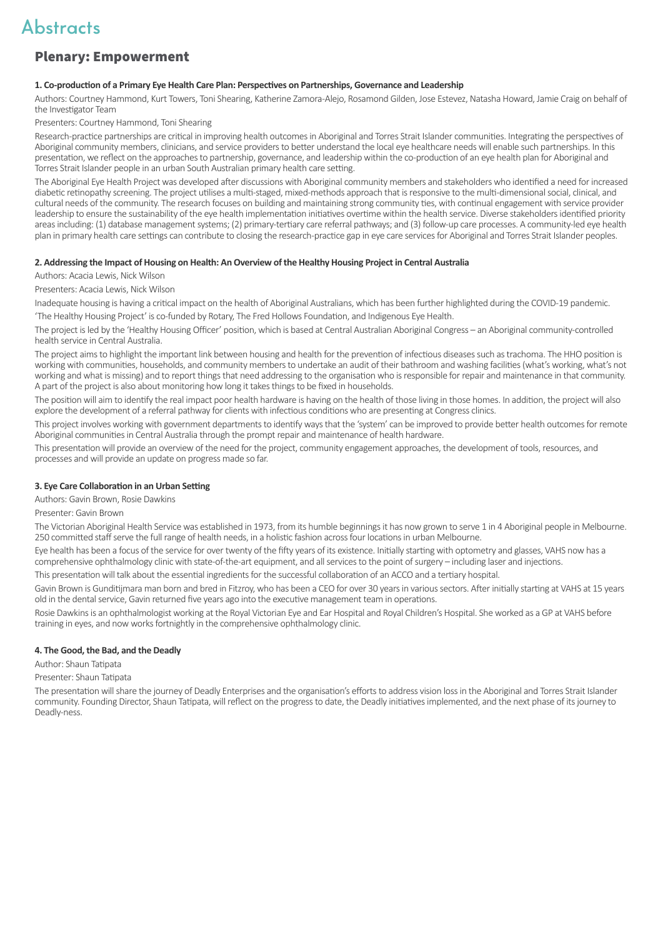### Plenary: Empowerment

#### **1. Co-production of a Primary Eye Health Care Plan: Perspectives on Partnerships, Governance and Leadership**

Authors: Courtney Hammond, Kurt Towers, Toni Shearing, Katherine Zamora-Alejo, Rosamond Gilden, Jose Estevez, Natasha Howard, Jamie Craig on behalf of the Investigator Team

Presenters: Courtney Hammond, Toni Shearing

Research-practice partnerships are critical in improving health outcomes in Aboriginal and Torres Strait Islander communities. Integrating the perspectives of Aboriginal community members, clinicians, and service providers to better understand the local eye healthcare needs will enable such partnerships. In this presentation, we reflect on the approaches to partnership, governance, and leadership within the co-production of an eye health plan for Aboriginal and Torres Strait Islander people in an urban South Australian primary health care setting.

The Aboriginal Eye Health Project was developed after discussions with Aboriginal community members and stakeholders who identified a need for increased diabetic retinopathy screening. The project utilises a multi-staged, mixed-methods approach that is responsive to the multi-dimensional social, clinical, and cultural needs of the community. The research focuses on building and maintaining strong community ties, with continual engagement with service provider leadership to ensure the sustainability of the eye health implementation initiatives overtime within the health service. Diverse stakeholders identified priority areas including: (1) database management systems; (2) primary-tertiary care referral pathways; and (3) follow-up care processes. A community-led eye health plan in primary health care settings can contribute to closing the research-practice gap in eye care services for Aboriginal and Torres Strait Islander peoples.

#### **2. Addressing the Impact of Housing on Health: An Overview of the Healthy Housing Project in Central Australia**

Authors: Acacia Lewis, Nick Wilson

Presenters: Acacia Lewis, Nick Wilson

Inadequate housing is having a critical impact on the health of Aboriginal Australians, which has been further highlighted during the COVID-19 pandemic.

'The Healthy Housing Project' is co-funded by Rotary, The Fred Hollows Foundation, and Indigenous Eye Health.

The project is led by the 'Healthy Housing Officer' position, which is based at Central Australian Aboriginal Congress – an Aboriginal community-controlled health service in Central Australia.

The project aims to highlight the important link between housing and health for the prevention of infectious diseases such as trachoma. The HHO position is working with communities, households, and community members to undertake an audit of their bathroom and washing facilities (what's working, what's not working and what is missing) and to report things that need addressing to the organisation who is responsible for repair and maintenance in that community. A part of the project is also about monitoring how long it takes things to be fixed in households.

The position will aim to identify the real impact poor health hardware is having on the health of those living in those homes. In addition, the project will also explore the development of a referral pathway for clients with infectious conditions who are presenting at Congress clinics.

This project involves working with government departments to identify ways that the 'system' can be improved to provide better health outcomes for remote Aboriginal communities in Central Australia through the prompt repair and maintenance of health hardware.

This presentation will provide an overview of the need for the project, community engagement approaches, the development of tools, resources, and processes and will provide an update on progress made so far.

#### **3. Eye Care Collaboration in an Urban Setting**

Authors: Gavin Brown, Rosie Dawkins

#### Presenter: Gavin Brown

The Victorian Aboriginal Health Service was established in 1973, from its humble beginnings it has now grown to serve 1 in 4 Aboriginal people in Melbourne. 250 committed staff serve the full range of health needs, in a holistic fashion across four locations in urban Melbourne.

Eye health has been a focus of the service for over twenty of the fifty years of its existence. Initially starting with optometry and glasses, VAHS now has a comprehensive ophthalmology clinic with state-of-the-art equipment, and all services to the point of surgery – including laser and injections.

This presentation will talk about the essential ingredients for the successful collaboration of an ACCO and a tertiary hospital.

Gavin Brown is Gunditijmara man born and bred in Fitzroy, who has been a CEO for over 30 years in various sectors. After initially starting at VAHS at 15 years old in the dental service, Gavin returned five years ago into the executive management team in operations.

Rosie Dawkins is an ophthalmologist working at the Royal Victorian Eye and Ear Hospital and Royal Children's Hospital. She worked as a GP at VAHS before training in eyes, and now works fortnightly in the comprehensive ophthalmology clinic.

#### **4. The Good, the Bad, and the Deadly**

Author: Shaun Tatipata

Presenter: Shaun Tatipata

The presentation will share the journey of Deadly Enterprises and the organisation's efforts to address vision loss in the Aboriginal and Torres Strait Islander community. Founding Director, Shaun Tatipata, will reflect on the progress to date, the Deadly initiatives implemented, and the next phase of its journey to Deadly-ness.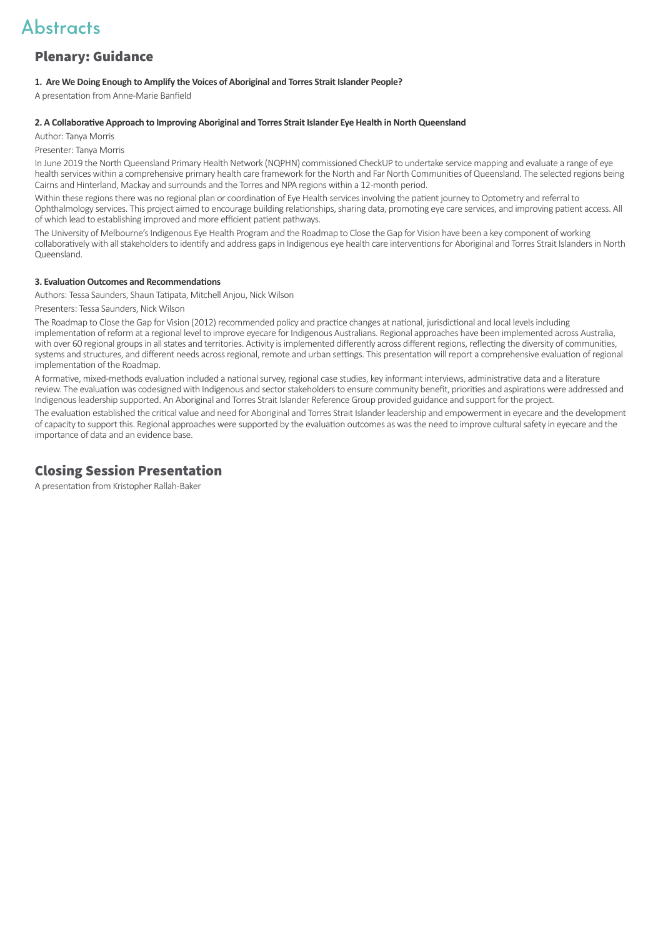### Plenary: Guidance

#### **1. Are We Doing Enough to Amplify the Voices of Aboriginal and Torres Strait Islander People?**

A presentation from Anne-Marie Banfield 

#### **2. A Collaborative Approach to Improving Aboriginal and Torres Strait Islander Eye Health in North Queensland**

Author: Tanya Morris

Presenter: Tanya Morris

In June 2019 the North Queensland Primary Health Network (NQPHN) commissioned CheckUP to undertake service mapping and evaluate a range of eye health services within a comprehensive primary health care framework for the North and Far North Communities of Queensland. The selected regions being Cairns and Hinterland, Mackay and surrounds and the Torres and NPA regions within a 12-month period.

Within these regions there was no regional plan or coordination of Eye Health services involving the patient journey to Optometry and referral to Ophthalmology services. This project aimed to encourage building relationships, sharing data, promoting eye care services, and improving patient access. All of which lead to establishing improved and more efficient patient pathways.

The University of Melbourne's Indigenous Eye Health Program and the Roadmap to Close the Gap for Vision have been a key component of working collaboratively with all stakeholders to identify and address gaps in Indigenous eye health care interventions for Aboriginal and Torres Strait Islanders in North Queensland.

#### **3. Evaluation Outcomes and Recommendations**

Authors: Tessa Saunders, Shaun Tatipata, Mitchell Anjou, Nick Wilson 

Presenters: Tessa Saunders, Nick Wilson

The Roadmap to Close the Gap for Vision (2012) recommended policy and practice changes at national, jurisdictional and local levels including implementation of reform at a regional level to improve eyecare for Indigenous Australians. Regional approaches have been implemented across Australia, with over 60 regional groups in all states and territories. Activity is implemented differently across different regions, reflecting the diversity of communities, systems and structures, and different needs across regional, remote and urban settings. This presentation will report a comprehensive evaluation of regional implementation of the Roadmap.

A formative, mixed-methods evaluation included a national survey, regional case studies, key informant interviews, administrative data and a literature review. The evaluation was codesigned with Indigenous and sector stakeholders to ensure community benefit, priorities and aspirations were addressed and Indigenous leadership supported. An Aboriginal and Torres Strait Islander Reference Group provided guidance and support for the project.

The evaluation established the critical value and need for Aboriginal and Torres Strait Islander leadership and empowerment in eyecare and the development of capacity to support this. Regional approaches were supported by the evaluation outcomes as was the need to improve cultural safety in eyecare and the importance of data and an evidence base.

### Closing Session Presentation

A presentation from Kristopher Rallah-Baker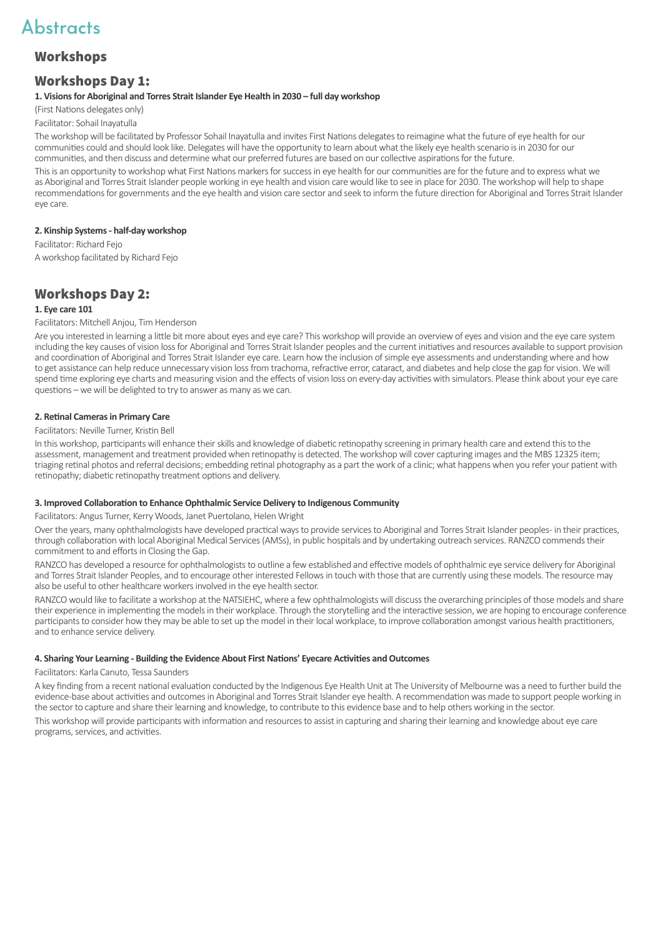### Workshops

### Workshops Day 1:

#### **1. Visions for Aboriginal and Torres Strait Islander Eye Health in 2030 – full day workshop**

(First Nations delegates only)

Facilitator: Sohail Inayatulla

The workshop will be facilitated by Professor Sohail Inayatulla and invites First Nations delegates to reimagine what the future of eye health for our communities could and should look like. Delegates will have the opportunity to learn about what the likely eye health scenario is in 2030 for our communities, and then discuss and determine what our preferred futures are based on our collective aspirations for the future.

This is an opportunity to workshop what First Nations markers for success in eye health for our communities are for the future and to express what we as Aboriginal and Torres Strait Islander people working in eye health and vision care would like to see in place for 2030. The workshop will help to shape recommendations for governments and the eye health and vision care sector and seek to inform the future direction for Aboriginal and Torres Strait Islander eye care.

#### **2. Kinship Systems - half-day workshop**

Facilitator: Richard Fejo A workshop facilitated by Richard Fejo

### Workshops Day 2:

#### **1. Eye care 101**

Facilitators: Mitchell Anjou, Tim Henderson

Are you interested in learning a little bit more about eyes and eye care? This workshop will provide an overview of eyes and vision and the eye care system including the key causes of vision loss for Aboriginal and Torres Strait Islander peoples and the current initiatives and resources available to support provision and coordination of Aboriginal and Torres Strait Islander eye care. Learn how the inclusion of simple eye assessments and understanding where and how to get assistance can help reduce unnecessary vision loss from trachoma, refractive error, cataract, and diabetes and help close the gap for vision. We will spend time exploring eye charts and measuring vision and the effects of vision loss on every-day activities with simulators. Please think about your eye care questions – we will be delighted to try to answer as many as we can.

#### **2. Retinal Cameras in Primary Care**

#### Facilitators: Neville Turner, Kristin Bell

In this workshop, participants will enhance their skills and knowledge of diabetic retinopathy screening in primary health care and extend this to the assessment, management and treatment provided when retinopathy is detected. The workshop will cover capturing images and the MBS 12325 item; triaging retinal photos and referral decisions; embedding retinal photography as a part the work of a clinic; what happens when you refer your patient with retinopathy; diabetic retinopathy treatment options and delivery.

#### **3. Improved Collaboration to Enhance Ophthalmic Service Delivery to Indigenous Community**

Facilitators: Angus Turner, Kerry Woods, Janet Puertolano, Helen Wright

Over the years, many ophthalmologists have developed practical ways to provide services to Aboriginal and Torres Strait Islander peoples - in their practices, through collaboration with local Aboriginal Medical Services (AMSs), in public hospitals and by undertaking outreach services. RANZCO commends their commitment to and efforts in Closing the Gap.

RANZCO has developed a resource for ophthalmologists to outline a few established and effective models of ophthalmic eye service delivery for Aboriginal and Torres Strait Islander Peoples, and to encourage other interested Fellows in touch with those that are currently using these models. The resource may also be useful to other healthcare workers involved in the eye health sector.

RANZCO would like to facilitate a workshop at the NATSIEHC, where a few ophthalmologists will discuss the overarching principles of those models and share their experience in implementing the models in their workplace. Through the storytelling and the interactive session, we are hoping to encourage conference participants to consider how they may be able to set up the model in their local workplace, to improve collaboration amongst various health practitioners, and to enhance service delivery.

#### **4. Sharing Your Learning - Building the Evidence About First Nations' Eyecare Activities and Outcomes**

Facilitators: Karla Canuto, Tessa Saunders

A key finding from a recent national evaluation conducted by the Indigenous Eye Health Unit at The University of Melbourne was a need to further build the evidence-base about activities and outcomes in Aboriginal and Torres Strait Islander eye health. A recommendation was made to support people working in the sector to capture and share their learning and knowledge, to contribute to this evidence base and to help others working in the sector. This workshop will provide participants with information and resources to assist in capturing and sharing their learning and knowledge about eye care programs, services, and activities.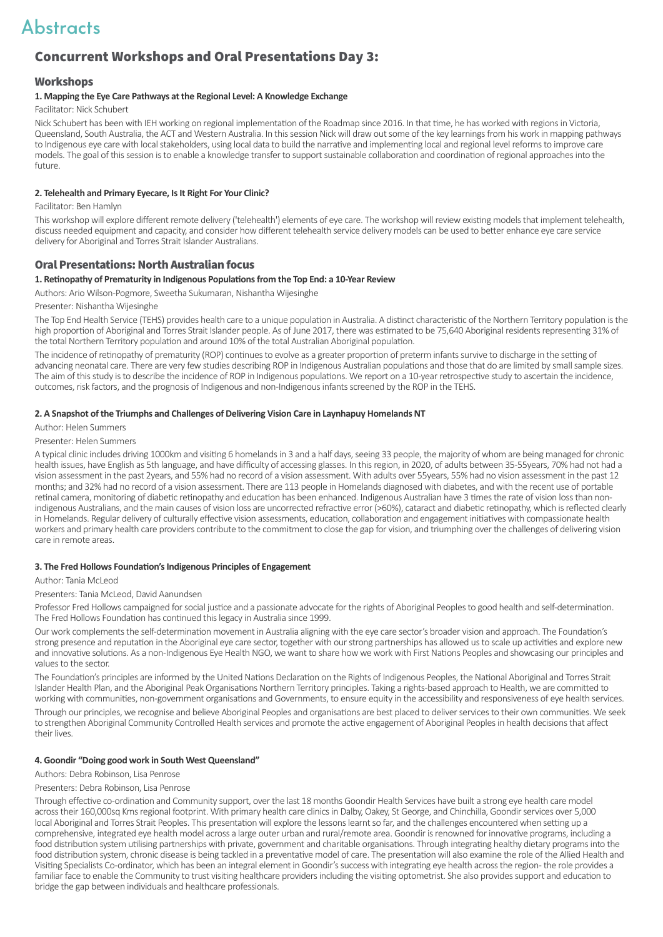## Concurrent Workshops and Oral Presentations Day 3:

#### **Workshops**

#### **1. Mapping the Eye Care Pathways at the Regional Level: A Knowledge Exchange**

Facilitator: Nick Schubert

Nick Schubert has been with IEH working on regional implementation of the Roadmap since 2016. In that time, he has worked with regions in Victoria, Queensland, South Australia, the ACT and Western Australia. In this session Nick will draw out some of the key learnings from his work in mapping pathways to Indigenous eye care with local stakeholders, using local data to build the narrative and implementing local and regional level reforms to improve care models. The goal of this session is to enable a knowledge transfer to support sustainable collaboration and coordination of regional approaches into the future.

#### **2. Telehealth and Primary Eyecare, Is It Right For Your Clinic?**

Facilitator: Ben Hamlyn 

This workshop will explore different remote delivery ('telehealth') elements of eye care. The workshop will review existing models that implement telehealth, discuss needed equipment and capacity, and consider how different telehealth service delivery models can be used to better enhance eye care service delivery for Aboriginal and Torres Strait Islander Australians.

#### Oral Presentations: North Australian focus

#### **1. Retinopathy of Prematurity in Indigenous Populations from the Top End: a 10-Year Review**

Authors: Ario Wilson-Pogmore, Sweetha Sukumaran, Nishantha Wijesinghe

Presenter: Nishantha Wijesinghe

The Top End Health Service (TEHS) provides health care to a unique population in Australia. A distinct characteristic of the Northern Territory population is the high proportion of Aboriginal and Torres Strait Islander people. As of June 2017, there was estimated to be 75,640 Aboriginal residents representing 31% of the total Northern Territory population and around 10% of the total Australian Aboriginal population.

The incidence of retinopathy of prematurity (ROP) continues to evolve as a greater proportion of preterm infants survive to discharge in the setting of advancing neonatal care. There are very few studies describing ROP in Indigenous Australian populations and those that do are limited by small sample sizes. The aim of this study is to describe the incidence of ROP in Indigenous populations. We report on a 10-year retrospective study to ascertain the incidence, outcomes, risk factors, and the prognosis of Indigenous and non-Indigenous infants screened by the ROP in the TEHS.

#### **2. A Snapshot of the Triumphs and Challenges of Delivering Vision Care in Laynhapuy Homelands NT**

Author: Helen Summers

Presenter: Helen Summers

A typical clinic includes driving 1000km and visiting 6 homelands in 3 and a half days, seeing 33 people, the majority of whom are being managed for chronic health issues, have English as 5th language, and have difficulty of accessing glasses. In this region, in 2020, of adults between 35-55years, 70% had not had a vision assessment in the past 2years, and 55% had no record of a vision assessment. With adults over 55years, 55% had no vision assessment in the past 12 months; and 32% had no record of a vision assessment. There are 113 people in Homelands diagnosed with diabetes, and with the recent use of portable retinal camera, monitoring of diabetic retinopathy and education has been enhanced. Indigenous Australian have 3 times the rate of vision loss than nonindigenous Australians, and the main causes of vision loss are uncorrected refractive error (>60%), cataract and diabetic retinopathy, which is reflected clearly in Homelands. Regular delivery of culturally effective vision assessments, education, collaboration and engagement initiatives with compassionate health workers and primary health care providers contribute to the commitment to close the gap for vision, and triumphing over the challenges of delivering vision care in remote areas.

#### **3. The Fred Hollows Foundation's Indigenous Principles of Engagement**

#### Author: Tania McLeod

Presenters: Tania McLeod, David Aanundsen

Professor Fred Hollows campaigned for social justice and a passionate advocate for the rights of Aboriginal Peoples to good health and self-determination. The Fred Hollows Foundation has continued this legacy in Australia since 1999.

Our work complements the self-determination movement in Australia aligning with the eye care sector's broader vision and approach. The Foundation's strong presence and reputation in the Aboriginal eye care sector, together with our strong partnerships has allowed us to scale up activities and explore new and innovative solutions. As a non-Indigenous Eye Health NGO, we want to share how we work with First Nations Peoples and showcasing our principles and values to the sector.

The Foundation's principles are informed by the United Nations Declaration on the Rights of Indigenous Peoples, the National Aboriginal and Torres Strait Islander Health Plan, and the Aboriginal Peak Organisations Northern Territory principles. Taking a rights-based approach to Health, we are committed to working with communities, non-government organisations and Governments, to ensure equity in the accessibility and responsiveness of eye health services.

Through our principles, we recognise and believe Aboriginal Peoples and organisations are best placed to deliver services to their own communities. We seek to strengthen Aboriginal Community Controlled Health services and promote the active engagement of Aboriginal Peoples in health decisions that affect their lives.

#### **4. Goondir "Doing good work in South West Queensland"**

Authors: Debra Robinson, Lisa Penrose

#### Presenters: Debra Robinson, Lisa Penrose

Through effective co-ordination and Community support, over the last 18 months Goondir Health Services have built a strong eye health care model across their 160,000sq Kms regional footprint. With primary health care clinics in Dalby, Oakey, St George, and Chinchilla, Goondir services over 5,000 local Aboriginal and Torres Strait Peoples. This presentation will explore the lessons learnt so far, and the challenges encountered when setting up a comprehensive, integrated eye health model across a large outer urban and rural/remote area. Goondir is renowned for innovative programs, including a food distribution system utilising partnerships with private, government and charitable organisations. Through integrating healthy dietary programs into the food distribution system, chronic disease is being tackled in a preventative model of care. The presentation will also examine the role of the Allied Health and Visiting Specialists Co-ordinator, which has been an integral element in Goondir's success with integrating eye health across the region- the role provides a familiar face to enable the Community to trust visiting healthcare providers including the visiting optometrist. She also provides support and education to bridge the gap between individuals and healthcare professionals.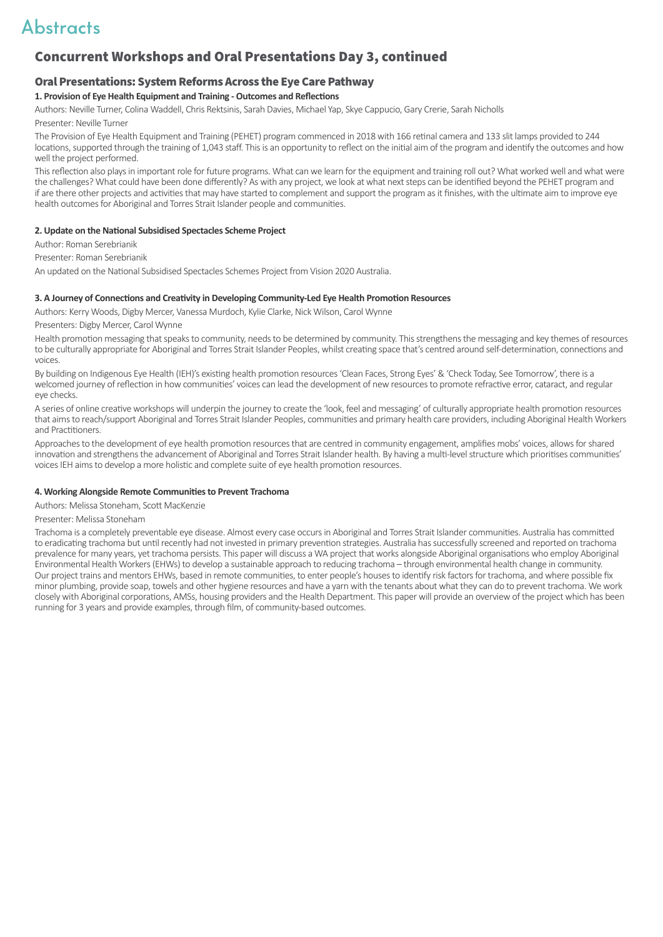## Concurrent Workshops and Oral Presentations Day 3, continued

#### Oral Presentations: System Reforms Across the Eye Care Pathway

#### **1. Provision of Eye Health Equipment and Training - Outcomes and Reflections**

Authors: Neville Turner, Colina Waddell, Chris Rektsinis, Sarah Davies, Michael Yap, Skye Cappucio, Gary Crerie, Sarah Nicholls  Presenter: Neville Turner

The Provision of Eye Health Equipment and Training (PEHET) program commenced in 2018 with 166 retinal camera and 133 slit lamps provided to 244 locations, supported through the training of 1,043 staff. This is an opportunity to reflect on the initial aim of the program and identify the outcomes and how well the project performed.

This reflection also plays in important role for future programs. What can we learn for the equipment and training roll out? What worked well and what were the challenges? What could have been done differently? As with any project, we look at what next steps can be identified beyond the PEHET program and if are there other projects and activities that may have started to complement and support the program as it finishes, with the ultimate aim to improve eye health outcomes for Aboriginal and Torres Strait Islander people and communities.

#### **2. Update on the National Subsidised Spectacles Scheme Project**

Author: Roman Serebrianik 

Presenter: Roman Serebrianik

An updated on the National Subsidised Spectacles Schemes Project from Vision 2020 Australia.

#### **3. A Journey of Connections and Creativity in Developing Community-Led Eye Health Promotion Resources**

Authors: Kerry Woods, Digby Mercer, Vanessa Murdoch, Kylie Clarke, Nick Wilson, Carol Wynne

Presenters: Digby Mercer, Carol Wynne

Health promotion messaging that speaks to community, needs to be determined by community. This strengthens the messaging and key themes of resources to be culturally appropriate for Aboriginal and Torres Strait Islander Peoples, whilst creating space that's centred around self-determination, connections and voices.

By building on Indigenous Eye Health (IEH)'s existing health promotion resources 'Clean Faces, Strong Eyes' & 'Check Today, See Tomorrow', there is a welcomed journey of reflection in how communities' voices can lead the development of new resources to promote refractive error, cataract, and regular eye checks.

A series of online creative workshops will underpin the journey to create the 'look, feel and messaging' of culturally appropriate health promotion resources that aims to reach/support Aboriginal and Torres Strait Islander Peoples, communities and primary health care providers, including Aboriginal Health Workers and Practitioners.

Approaches to the development of eye health promotion resources that are centred in community engagement, amplifies mobs' voices, allows for shared innovation and strengthens the advancement of Aboriginal and Torres Strait Islander health. By having a multi-level structure which prioritises communities' voices IEH aims to develop a more holistic and complete suite of eye health promotion resources.

#### **4. Working Alongside Remote Communities to Prevent Trachoma**

Authors: Melissa Stoneham, Scott MacKenzie

Presenter: Melissa Stoneham

Trachoma is a completely preventable eye disease. Almost every case occurs in Aboriginal and Torres Strait Islander communities. Australia has committed to eradicating trachoma but until recently had not invested in primary prevention strategies. Australia has successfully screened and reported on trachoma prevalence for many years, yet trachoma persists. This paper will discuss a WA project that works alongside Aboriginal organisations who employ Aboriginal Environmental Health Workers (EHWs) to develop a sustainable approach to reducing trachoma – through environmental health change in community. Our project trains and mentors EHWs, based in remote communities, to enter people's houses to identify risk factors for trachoma, and where possible fix minor plumbing, provide soap, towels and other hygiene resources and have a yarn with the tenants about what they can do to prevent trachoma. We work closely with Aboriginal corporations, AMSs, housing providers and the Health Department. This paper will provide an overview of the project which has been running for 3 years and provide examples, through film, of community-based outcomes.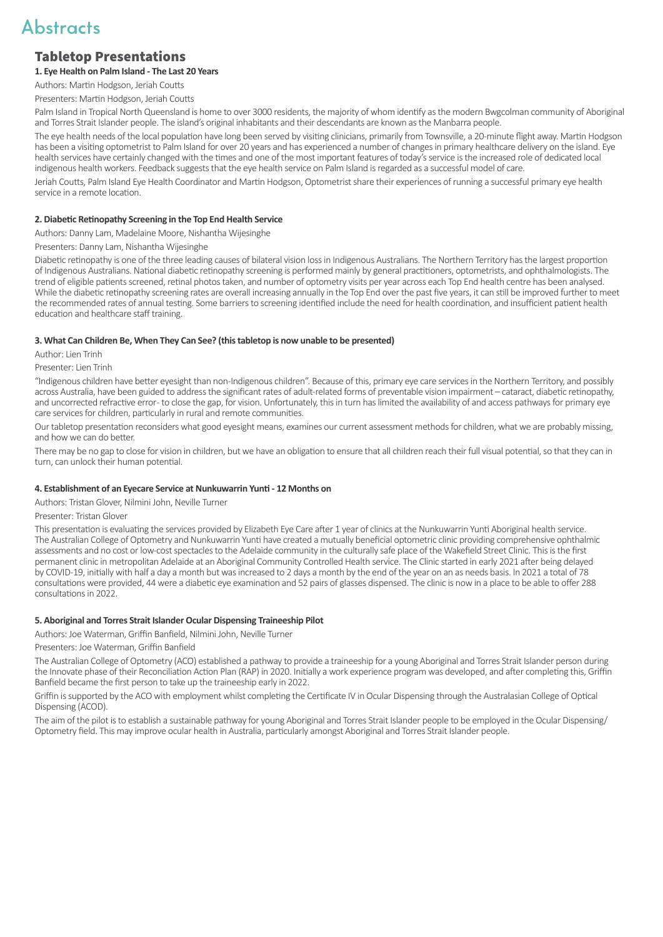### Tabletop Presentations

**1. Eye Health on Palm Island - The Last 20 Years**

Authors: Martin Hodgson, Jeriah Coutts

Presenters: Martin Hodgson, Jeriah Coutts

Palm Island in Tropical North Queensland is home to over 3000 residents, the majority of whom identify as the modern Bwgcolman community of Aboriginal and Torres Strait Islander people. The island's original inhabitants and their descendants are known as the Manbarra people.

The eye health needs of the local population have long been served by visiting clinicians, primarily from Townsville, a 20-minute flight away. Martin Hodgson has been a visiting optometrist to Palm Island for over 20 years and has experienced a number of changes in primary healthcare delivery on the island. Eye health services have certainly changed with the times and one of the most important features of today's service is the increased role of dedicated local indigenous health workers. Feedback suggests that the eye health service on Palm Island is regarded as a successful model of care.

Jeriah Coutts, Palm Island Eye Health Coordinator and Martin Hodgson, Optometrist share their experiences of running a successful primary eye health service in a remote location.

#### **2. Diabetic Retinopathy Screening in the Top End Health Service**

Authors: Danny Lam, Madelaine Moore, Nishantha Wijesinghe

Presenters: Danny Lam, Nishantha Wijesinghe

Diabetic retinopathy is one of the three leading causes of bilateral vision loss in Indigenous Australians. The Northern Territory has the largest proportion of Indigenous Australians. National diabetic retinopathy screening is performed mainly by general practitioners, optometrists, and ophthalmologists. The trend of eligible patients screened, retinal photos taken, and number of optometry visits per year across each Top End health centre has been analysed. While the diabetic retinopathy screening rates are overall increasing annually in the Top End over the past five years, it can still be improved further to meet the recommended rates of annual testing. Some barriers to screening identified include the need for health coordination, and insufficient patient health education and healthcare staff training.

#### **3. What Can Children Be, When They Can See? (this tabletop is now unable to be presented)**

Author: Lien Trinh

Presenter: Lien Trinh

"Indigenous children have better eyesight than non-Indigenous children". Because of this, primary eye care services in the Northern Territory, and possibly across Australia, have been guided to address the significant rates of adult-related forms of preventable vision impairment – cataract, diabetic retinopathy, and uncorrected refractive error - to close the gap, for vision. Unfortunately, this in turn has limited the availability of and access pathways for primary eye care services for children, particularly in rural and remote communities.

Our tabletop presentation reconsiders what good eyesight means, examines our current assessment methods for children, what we are probably missing, and how we can do better.

There may be no gap to close for vision in children, but we have an obligation to ensure that all children reach their full visual potential, so that they can in turn, can unlock their human potential.

#### **4. Establishment of an Eyecare Service at Nunkuwarrin Yunti - 12 Months on**

Authors: Tristan Glover, Nilmini John, Neville Turner

Presenter: Tristan Glover

This presentation is evaluating the services provided by Elizabeth Eye Care after 1 year of clinics at the Nunkuwarrin Yunti Aboriginal health service. The Australian College of Optometry and Nunkuwarrin Yunti have created a mutually beneficial optometric clinic providing comprehensive ophthalmic assessments and no cost or low-cost spectacles to the Adelaide community in the culturally safe place of the Wakefield Street Clinic. This is the first permanent clinic in metropolitan Adelaide at an Aboriginal Community Controlled Health service. The Clinic started in early 2021 after being delayed by COVID-19, initially with half a day a month but was increased to 2 days a month by the end of the year on an as needs basis. In 2021 a total of 78 consultations were provided, 44 were a diabetic eye examination and 52 pairs of glasses dispensed. The clinic is now in a place to be able to offer 288 consultations in 2022.

#### **5. Aboriginal and Torres Strait Islander Ocular Dispensing Traineeship Pilot**

Authors: Joe Waterman, Griffin Banfield, Nilmini John, Neville Turner

Presenters: Joe Waterman, Griffin Banfield

The Australian College of Optometry (ACO) established a pathway to provide a traineeship for a young Aboriginal and Torres Strait Islander person during the Innovate phase of their Reconciliation Action Plan (RAP) in 2020. Initially a work experience program was developed, and after completing this, Griffin Banfield became the first person to take up the traineeship early in 2022.

Griffin is supported by the ACO with employment whilst completing the Certificate IV in Ocular Dispensing through the Australasian College of Optical Dispensing (ACOD).

The aim of the pilot is to establish a sustainable pathway for young Aboriginal and Torres Strait Islander people to be employed in the Ocular Dispensing/ Optometry field. This may improve ocular health in Australia, particularly amongst Aboriginal and Torres Strait Islander people.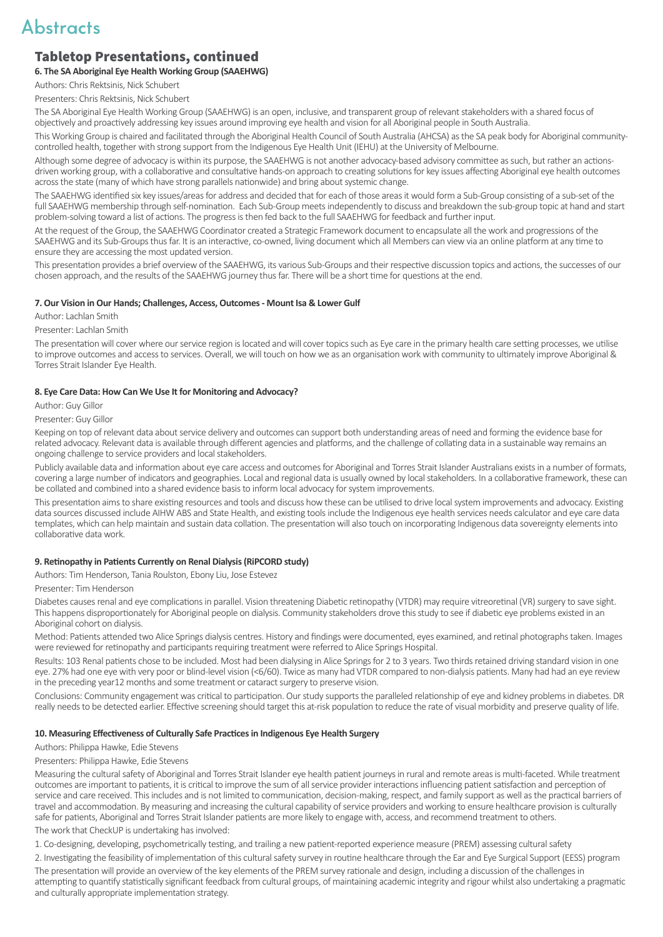### Tabletop Presentations, continued

#### **6. The SA Aboriginal Eye Health Working Group (SAAEHWG)**

Authors: Chris Rektsinis, Nick Schubert

Presenters: Chris Rektsinis, Nick Schubert

The SA Aboriginal Eye Health Working Group (SAAEHWG) is an open, inclusive, and transparent group of relevant stakeholders with a shared focus of objectively and proactively addressing key issues around improving eye health and vision for all Aboriginal people in South Australia.

This Working Group is chaired and facilitated through the Aboriginal Health Council of South Australia (AHCSA) as the SA peak body for Aboriginal communitycontrolled health, together with strong support from the Indigenous Eye Health Unit (IEHU) at the University of Melbourne.

Although some degree of advocacy is within its purpose, the SAAEHWG is not another advocacy-based advisory committee as such, but rather an actionsdriven working group, with a collaborative and consultative hands-on approach to creating solutions for key issues affecting Aboriginal eye health outcomes across the state (many of which have strong parallels nationwide) and bring about systemic change.

The SAAEHWG identified six key issues/areas for address and decided that for each of those areas it would form a Sub-Group consisting of a sub-set of the full SAAEHWG membership through self-nomination. Each Sub-Group meets independently to discuss and breakdown the sub-group topic at hand and start problem-solving toward a list of actions. The progress is then fed back to the full SAAEHWG for feedback and further input.

At the request of the Group, the SAAEHWG Coordinator created a Strategic Framework document to encapsulate all the work and progressions of the SAAEHWG and its Sub-Groups thus far. It is an interactive, co-owned, living document which all Members can view via an online platform at any time to ensure they are accessing the most updated version.

This presentation provides a brief overview of the SAAEHWG, its various Sub-Groups and their respective discussion topics and actions, the successes of our chosen approach, and the results of the SAAEHWG journey thus far. There will be a short time for questions at the end.

#### **7. Our Vision in Our Hands; Challenges, Access, Outcomes - Mount Isa & Lower Gulf**

Author: Lachlan Smith

Presenter: Lachlan Smith

The presentation will cover where our service region is located and will cover topics such as Eye care in the primary health care setting processes, we utilise to improve outcomes and access to services. Overall, we will touch on how we as an organisation work with community to ultimately improve Aboriginal & Torres Strait Islander Eye Health.

#### **8. Eye Care Data: How Can We Use It for Monitoring and Advocacy?**

Author: Guy Gillor

Presenter: Guy Gillor

Keeping on top of relevant data about service delivery and outcomes can support both understanding areas of need and forming the evidence base for related advocacy. Relevant data is available through different agencies and platforms, and the challenge of collating data in a sustainable way remains an ongoing challenge to service providers and local stakeholders.

Publicly available data and information about eye care access and outcomes for Aboriginal and Torres Strait Islander Australians exists in a number of formats, covering a large number of indicators and geographies. Local and regional data is usually owned by local stakeholders. In a collaborative framework, these can be collated and combined into a shared evidence basis to inform local advocacy for system improvements.

This presentation aims to share existing resources and tools and discuss how these can be utilised to drive local system improvements and advocacy. Existing data sources discussed include AIHW ABS and State Health, and existing tools include the Indigenous eye health services needs calculator and eye care data templates, which can help maintain and sustain data collation. The presentation will also touch on incorporating Indigenous data sovereignty elements into collaborative data work.

#### **9. Retinopathy in Patients Currently on Renal Dialysis (RiPCORD study)**

Authors: Tim Henderson, Tania Roulston, Ebony Liu, Jose Estevez

Presenter: Tim Henderson

Diabetes causes renal and eye complications in parallel. Vision threatening Diabetic retinopathy (VTDR) may require vitreoretinal (VR) surgery to save sight. This happens disproportionately for Aboriginal people on dialysis. Community stakeholders drove this study to see if diabetic eye problems existed in an Aboriginal cohort on dialysis.

Method: Patients attended two Alice Springs dialysis centres. History and findings were documented, eyes examined, and retinal photographs taken. Images were reviewed for retinopathy and participants requiring treatment were referred to Alice Springs Hospital.

Results: 103 Renal patients chose to be included. Most had been dialysing in Alice Springs for 2 to 3 years. Two thirds retained driving standard vision in one eye. 27% had one eye with very poor or blind-level vision (<6/60). Twice as many had VTDR compared to non-dialysis patients. Many had had an eye review in the preceding year12 months and some treatment or cataract surgery to preserve vision.

Conclusions: Community engagement was critical to participation. Our study supports the paralleled relationship of eye and kidney problems in diabetes. DR really needs to be detected earlier. Effective screening should target this at-risk population to reduce the rate of visual morbidity and preserve quality of life.

#### **10. Measuring Effectiveness of Culturally Safe Practices in Indigenous Eye Health Surgery**

Authors: Philippa Hawke, Edie Stevens

Presenters: Philippa Hawke, Edie Stevens

Measuring the cultural safety of Aboriginal and Torres Strait Islander eye health patient journeys in rural and remote areas is multi-faceted. While treatment outcomes are important to patients, it is critical to improve the sum of all service provider interactions influencing patient satisfaction and perception of service and care received. This includes and is not limited to communication, decision-making, respect, and family support as well as the practical barriers of travel and accommodation. By measuring and increasing the cultural capability of service providers and working to ensure healthcare provision is culturally safe for patients, Aboriginal and Torres Strait Islander patients are more likely to engage with, access, and recommend treatment to others.

The work that CheckUP is undertaking has involved:

1. Co-designing, developing, psychometrically testing, and trailing a new patient-reported experience measure (PREM) assessing cultural safety

2. Investigating the feasibility of implementation of this cultural safety survey in routine healthcare through the Ear and Eye Surgical Support (EESS) program

The presentation will provide an overview of the key elements of the PREM survey rationale and design, including a discussion of the challenges in attempting to quantify statistically significant feedback from cultural groups, of maintaining academic integrity and rigour whilst also undertaking a pragmatic and culturally appropriate implementation strategy.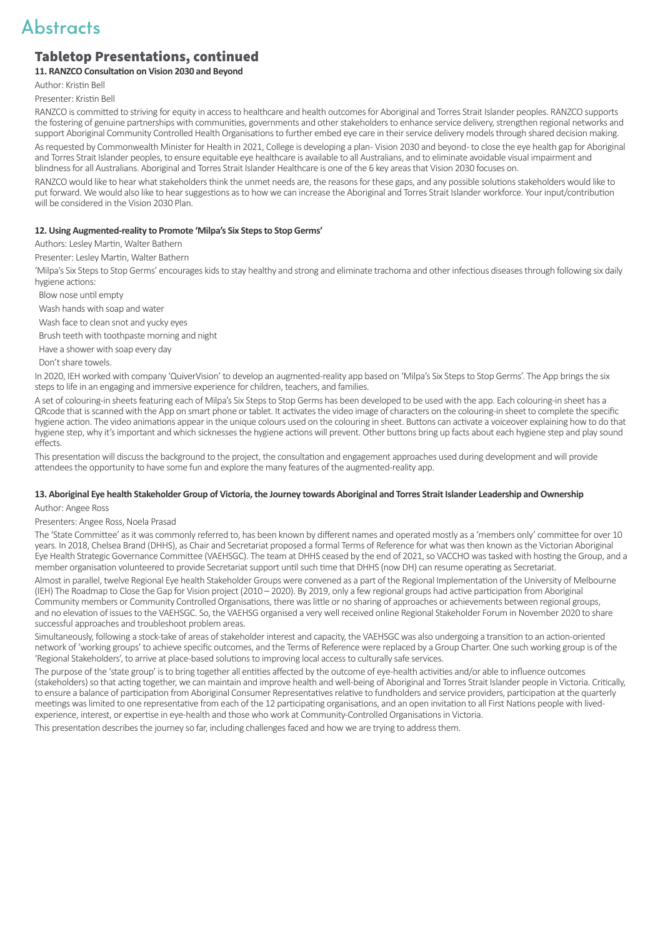### Tabletop Presentations, continued

#### **11. RANZCO Consultation on Vision 2030 and Beyond**

Author: Kristin Bell 

Presenter: Kristin Bell 

RANZCO is committed to striving for equity in access to healthcare and health outcomes for Aboriginal and Torres Strait Islander peoples. RANZCO supports the fostering of genuine partnerships with communities, governments and other stakeholders to enhance service delivery, strengthen regional networks and support Aboriginal Community Controlled Health Organisations to further embed eye care in their service delivery models through shared decision making.

As requested by Commonwealth Minister for Health in 2021, College is developing a plan-Vision 2030 and beyond-to close the eye health gap for Aboriginal and Torres Strait Islander peoples, to ensure equitable eye healthcare is available to all Australians, and to eliminate avoidable visual impairment and blindness for all Australians. Aboriginal and Torres Strait Islander Healthcare is one of the 6 key areas that Vision 2030 focuses on.

RANZCO would like to hear what stakeholders think the unmet needs are, the reasons for these gaps, and any possible solutions stakeholders would like to put forward. We would also like to hear suggestions as to how we can increase the Aboriginal and Torres Strait Islander workforce. Your input/contribution will be considered in the Vision 2030 Plan.

#### **12. Using Augmented-reality to Promote 'Milpa's Six Steps to Stop Germs'**

Authors: Lesley Martin, Walter Bathern

Presenter: Lesley Martin, Walter Bathern

'Milpa's Six Steps to Stop Germs' encourages kids to stay healthy and strong and eliminate trachoma and other infectious diseases through following six daily hygiene actions:

Blow nose until empty

Wash hands with soap and water

Wash face to clean snot and yucky eyes

Brush teeth with toothpaste morning and night

Have a shower with soap every day

Don't share towels.

In 2020, IEH worked with company 'QuiverVision' to develop an augmented-reality app based on 'Milpa's Six Steps to Stop Germs'. The App brings the six steps to life in an engaging and immersive experience for children, teachers, and families.

A set of colouring-in sheets featuring each of Milpa's Six Steps to Stop Germs has been developed to be used with the app. Each colouring-in sheet has a QRcode that is scanned with the App on smart phone or tablet. It activates the video image of characters on the colouring-in sheet to complete the specific hygiene action. The video animations appear in the unique colours used on the colouring in sheet. Buttons can activate a voiceover explaining how to do that hygiene step, why it's important and which sicknesses the hygiene actions will prevent. Other buttons bring up facts about each hygiene step and play sound effects.

This presentation will discuss the background to the project, the consultation and engagement approaches used during development and will provide attendees the opportunity to have some fun and explore the many features of the augmented-reality app.

#### **13. Aboriginal Eye health Stakeholder Group of Victoria, the Journey towards Aboriginal and Torres Strait Islander Leadership and Ownership**

Author: Angee Ross

#### Presenters: Angee Ross, Noela Prasad

The 'State Committee' as it was commonly referred to, has been known by different names and operated mostly as a 'members only' committee for over 10 years. In 2018, Chelsea Brand (DHHS), as Chair and Secretariat proposed a formal Terms of Reference for what was then known as the Victorian Aboriginal Eye Health Strategic Governance Committee (VAEHSGC). The team at DHHS ceased by the end of 2021, so VACCHO was tasked with hosting the Group, and a member organisation volunteered to provide Secretariat support until such time that DHHS (now DH) can resume operating as Secretariat.

Almost in parallel, twelve Regional Eye health Stakeholder Groups were convened as a part of the Regional Implementation of the University of Melbourne (IEH) The Roadmap to Close the Gap for Vision project (2010 – 2020). By 2019, only a few regional groups had active participation from Aboriginal Community members or Community Controlled Organisations, there was little or no sharing of approaches or achievements between regional groups, and no elevation of issues to the VAEHSGC. So, the VAEHSG organised a very well received online Regional Stakeholder Forum in November 2020 to share successful approaches and troubleshoot problem areas.

Simultaneously, following a stock-take of areas of stakeholder interest and capacity, the VAEHSGC was also undergoing a transition to an action-oriented network of 'working groups' to achieve specific outcomes, and the Terms of Reference were replaced by a Group Charter. One such working group is of the 'Regional Stakeholders', to arrive at place-based solutions to improving local access to culturally safe services.

The purpose of the 'state group' is to bring together all entities affected by the outcome of eye-health activities and/or able to influence outcomes (stakeholders) so that acting together, we can maintain and improve health and well-being of Aboriginal and Torres Strait Islander people in Victoria. Critically, to ensure a balance of participation from Aboriginal Consumer Representatives relative to fundholders and service providers, participation at the quarterly meetings was limited to one representative from each of the 12 participating organisations, and an open invitation to all First Nations people with livedexperience, interest, or expertise in eye-health and those who work at Community-Controlled Organisations in Victoria.

This presentation describes the journey so far, including challenges faced and how we are trying to address them.